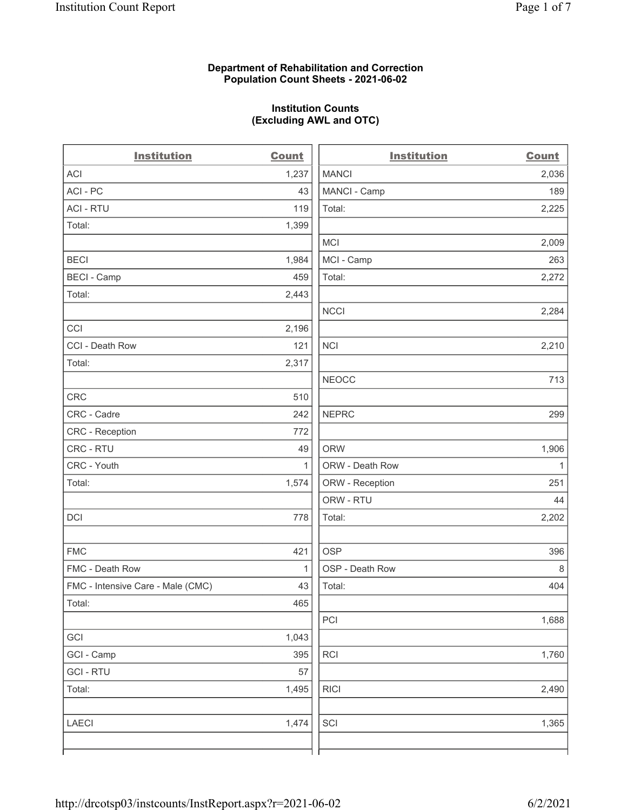### Department of Rehabilitation and Correction Population Count Sheets - 2021-06-02

### Institution Counts (Excluding AWL and OTC)

 $\overline{a}$ 

| <b>Institution</b>                | <b>Count</b> | <b>Institution</b> | <b>Count</b> |
|-----------------------------------|--------------|--------------------|--------------|
| ACI                               | 1,237        | <b>MANCI</b>       | 2,036        |
| ACI - PC                          | 43           | MANCI - Camp       | 189          |
| <b>ACI - RTU</b>                  | 119          | Total:             | 2,225        |
| Total:                            | 1,399        |                    |              |
|                                   |              | <b>MCI</b>         | 2,009        |
| <b>BECI</b>                       | 1,984        | MCI - Camp         | 263          |
| <b>BECI - Camp</b>                | 459          | Total:             | 2,272        |
| Total:                            | 2,443        |                    |              |
|                                   |              | <b>NCCI</b>        | 2,284        |
| CCI                               | 2,196        |                    |              |
| CCI - Death Row                   | 121          | <b>NCI</b>         | 2,210        |
| Total:                            | 2,317        |                    |              |
|                                   |              | <b>NEOCC</b>       | 713          |
| <b>CRC</b>                        | 510          |                    |              |
| CRC - Cadre                       | 242          | <b>NEPRC</b>       | 299          |
| CRC - Reception                   | 772          |                    |              |
| CRC - RTU                         | 49           | <b>ORW</b>         | 1,906        |
| CRC - Youth                       | $\mathbf{1}$ | ORW - Death Row    | $\mathbf{1}$ |
| Total:                            | 1,574        | ORW - Reception    | 251          |
|                                   |              | ORW - RTU          | 44           |
| DCI                               | 778          | Total:             | 2,202        |
| <b>FMC</b>                        | 421          | <b>OSP</b>         | 396          |
| FMC - Death Row                   | $\mathbf{1}$ | OSP - Death Row    | 8            |
| FMC - Intensive Care - Male (CMC) | 43           | Total:             | 404          |
| Total:                            | 465          |                    |              |
|                                   |              | PCI                | 1,688        |
| GCI                               | 1,043        |                    |              |
| GCI - Camp                        | 395          | RCI                | 1,760        |
| <b>GCI-RTU</b>                    | 57           |                    |              |
| Total:                            | 1,495        | <b>RICI</b>        | 2,490        |
| <b>LAECI</b>                      | 1,474        | SCI                | 1,365        |
|                                   |              |                    |              |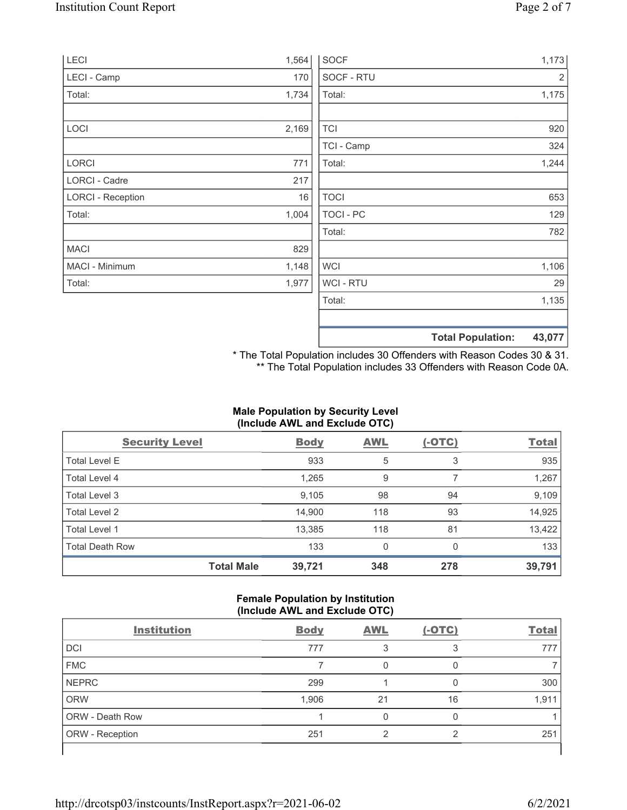| LECI                     | 1,564 | <b>SOCF</b>      | 1,173                              |
|--------------------------|-------|------------------|------------------------------------|
| LECI - Camp              | 170   | SOCF - RTU       | 2                                  |
| Total:                   | 1,734 | Total:           | 1,175                              |
|                          |       |                  |                                    |
| LOCI                     | 2,169 | <b>TCI</b>       | 920                                |
|                          |       | TCI - Camp       | 324                                |
| LORCI                    | 771   | Total:           | 1,244                              |
| LORCI - Cadre            | 217   |                  |                                    |
| <b>LORCI - Reception</b> | 16    | <b>TOCI</b>      | 653                                |
| Total:                   | 1,004 | <b>TOCI - PC</b> | 129                                |
|                          |       | Total:           | 782                                |
| <b>MACI</b>              | 829   |                  |                                    |
| MACI - Minimum           | 1,148 | <b>WCI</b>       | 1,106                              |
| Total:                   | 1,977 | WCI - RTU        | 29                                 |
|                          |       | Total:           | 1,135                              |
|                          |       |                  |                                    |
|                          |       |                  | 43,077<br><b>Total Population:</b> |

\* The Total Population includes 30 Offenders with Reason Codes 30 & 31. \*\* The Total Population includes 33 Offenders with Reason Code 0A.

## Male Population by Security Level (Include AWL and Exclude OTC)

| <b>Security Level</b>  |                   | <b>Body</b> | <b>AWL</b> | $(-OTC)$ | <b>Total</b> |
|------------------------|-------------------|-------------|------------|----------|--------------|
| <b>Total Level E</b>   |                   | 933         | 5          | 3        | 935          |
| Total Level 4          |                   | 1,265       | 9          |          | 1,267        |
| Total Level 3          |                   | 9,105       | 98         | 94       | 9,109        |
| Total Level 2          |                   | 14,900      | 118        | 93       | 14,925       |
| Total Level 1          |                   | 13,385      | 118        | 81       | 13,422       |
| <b>Total Death Row</b> |                   | 133         | 0          | $\Omega$ | 133          |
|                        | <b>Total Male</b> | 39,721      | 348        | 278      | 39,791       |

### Female Population by Institution (Include AWL and Exclude OTC)

| <b>Institution</b>     | <b>Body</b> | <b>AWL</b> | $(-OTC)$ | <b>Total</b> |
|------------------------|-------------|------------|----------|--------------|
| <b>DCI</b>             | 777         |            | 3        | 777          |
| <b>FMC</b>             |             |            |          |              |
| <b>NEPRC</b>           | 299         |            |          | 300          |
| <b>ORW</b>             | 1,906       | 21         | 16       | 1,911        |
| <b>ORW - Death Row</b> |             |            |          |              |
| ORW - Reception        | 251         | ⌒          | ◠        | 251          |
|                        |             |            |          |              |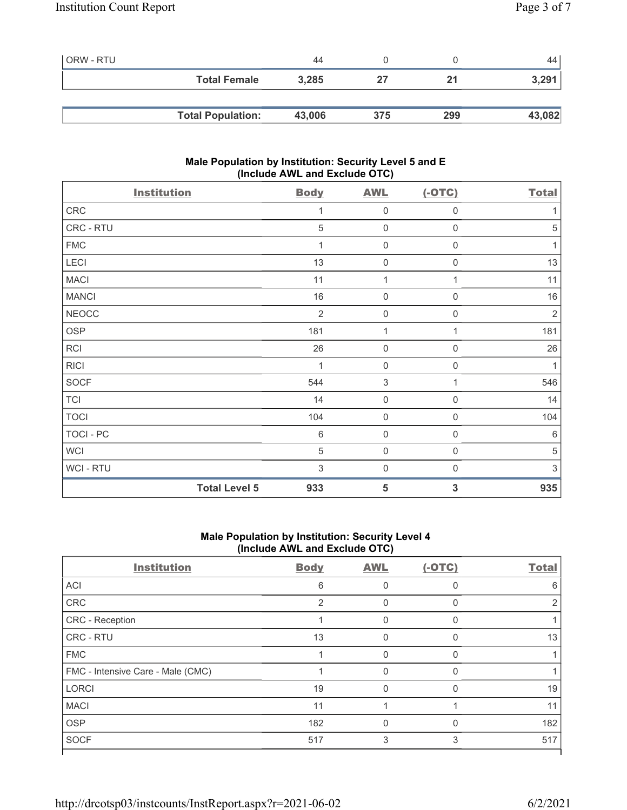| ORW - RTU |                          | 44     |     |     | 44'    |
|-----------|--------------------------|--------|-----|-----|--------|
|           | <b>Total Female</b>      | 3,285  | 27  | 21  | 3,291  |
|           |                          |        |     |     |        |
|           | <b>Total Population:</b> | 43,006 | 375 | 299 | 43,082 |

### Male Population by Institution: Security Level 5 and E (Include AWL and Exclude OTC)

| <b>Institution</b>   | <b>Body</b>    | <b>AWL</b>          | $(-OTC)$            | <b>Total</b> |
|----------------------|----------------|---------------------|---------------------|--------------|
| ${\sf CRC}$          | 1              | $\mathbf 0$         | 0                   | 1            |
| CRC - RTU            | 5              | $\mathsf{O}\xspace$ | $\mathsf{O}\xspace$ | 5            |
| <b>FMC</b>           | $\mathbf{1}$   | $\mathsf{O}\xspace$ | $\mathbf 0$         | 1            |
| LECI                 | 13             | $\mathsf{O}\xspace$ | $\mathbf 0$         | 13           |
| <b>MACI</b>          | 11             | $\mathbf{1}$        | 1                   | 11           |
| <b>MANCI</b>         | 16             | $\mathbf 0$         | 0                   | 16           |
| <b>NEOCC</b>         | $\overline{2}$ | $\mathbf 0$         | 0                   | $\sqrt{2}$   |
| <b>OSP</b>           | 181            | 1                   | 1                   | 181          |
| RCI                  | 26             | $\mathsf{O}\xspace$ | $\boldsymbol{0}$    | 26           |
| <b>RICI</b>          | 1              | $\mathbf 0$         | $\boldsymbol{0}$    | 1            |
| SOCF                 | 544            | $\sqrt{3}$          | 1                   | 546          |
| TCI                  | 14             | $\mathbf 0$         | 0                   | 14           |
| <b>TOCI</b>          | 104            | $\mathsf{O}\xspace$ | $\boldsymbol{0}$    | 104          |
| TOCI - PC            | $\,6$          | $\mathsf{O}\xspace$ | $\boldsymbol{0}$    | $6\,$        |
| <b>WCI</b>           | 5              | $\mathsf{O}\xspace$ | $\mathbf 0$         | 5            |
| WCI - RTU            | $\sqrt{3}$     | $\mathsf{O}\xspace$ | $\boldsymbol{0}$    | $\sqrt{3}$   |
| <b>Total Level 5</b> | 933            | 5                   | 3                   | 935          |

### Male Population by Institution: Security Level 4 (Include AWL and Exclude OTC)

| <b>Body</b>    | <b>AWL</b> | $(-OTC)$ | <b>Total</b> |
|----------------|------------|----------|--------------|
| 6              |            | ∩        | 6            |
| $\overline{2}$ | 0          | $\Omega$ | 2            |
|                | 0          | $\Omega$ |              |
| 13             | 0          | $\Omega$ | 13           |
|                | 0          | $\Omega$ |              |
|                |            |          |              |
| 19             | $\Omega$   | $\Omega$ | 19           |
| 11             |            |          | 11           |
| 182            | $\Omega$   | $\Omega$ | 182          |
| 517            | 3          | 3        | 517          |
|                |            |          |              |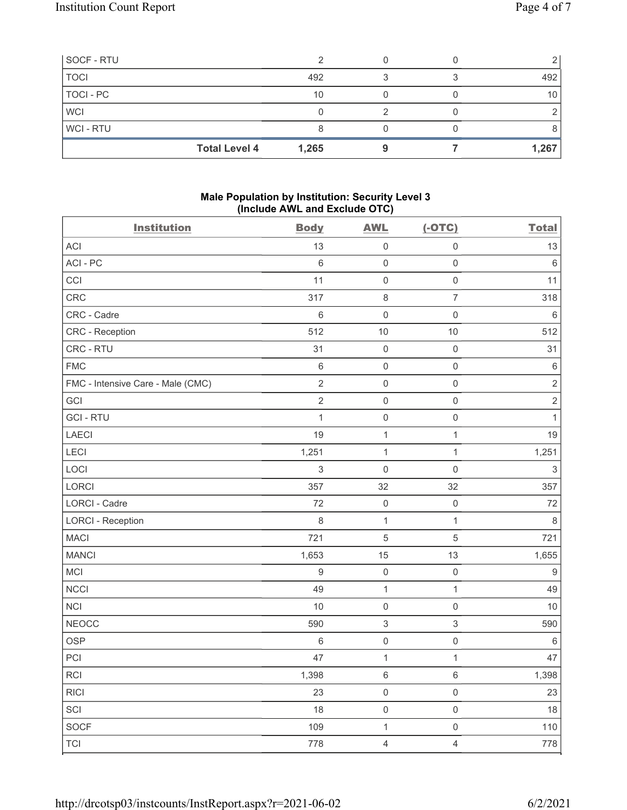| SOCF - RTU  |                               |  |       |
|-------------|-------------------------------|--|-------|
| <b>TOCI</b> | 492                           |  | 492   |
| TOCI - PC   | 10                            |  | 10    |
| <b>WCI</b>  |                               |  |       |
| WCI-RTU     |                               |  |       |
|             | <b>Total Level 4</b><br>1,265 |  | 1,267 |

### Male Population by Institution: Security Level 3 (Include AWL and Exclude OTC)

| <b>Institution</b>                | <b>Body</b>      | <b>AWL</b>                | $(-OTC)$            | <b>Total</b> |
|-----------------------------------|------------------|---------------------------|---------------------|--------------|
| <b>ACI</b>                        | 13               | $\mathbf 0$               | $\mathsf 0$         | 13           |
| ACI-PC                            | $\,6\,$          | $\mathsf 0$               | $\mathsf{O}\xspace$ | $\,6\,$      |
| CCI                               | 11               | $\mathbf 0$               | $\mathsf{O}\xspace$ | 11           |
| CRC                               | 317              | $\,8\,$                   | $\overline{7}$      | 318          |
| CRC - Cadre                       | $\,6\,$          | $\mathsf 0$               | $\mathsf{O}\xspace$ | $\,6\,$      |
| CRC - Reception                   | 512              | 10                        | 10                  | 512          |
| CRC - RTU                         | 31               | $\mathbf 0$               | $\mathsf{O}\xspace$ | 31           |
| <b>FMC</b>                        | $\,6\,$          | $\mathbf 0$               | $\mathsf 0$         | $\,6\,$      |
| FMC - Intensive Care - Male (CMC) | $\sqrt{2}$       | $\mathbf 0$               | $\mathsf 0$         | $\sqrt{2}$   |
| GCI                               | $\sqrt{2}$       | $\mathsf 0$               | $\mathsf{O}\xspace$ | $\sqrt{2}$   |
| <b>GCI-RTU</b>                    | $\mathbf{1}$     | $\mathbf 0$               | $\mathsf 0$         | $\mathbf{1}$ |
| <b>LAECI</b>                      | 19               | $\mathbf{1}$              | $\mathbf{1}$        | 19           |
| LECI                              | 1,251            | $\mathbf 1$               | 1                   | 1,251        |
| LOCI                              | $\sqrt{3}$       | $\mathbf 0$               | 0                   | $\sqrt{3}$   |
| LORCI                             | 357              | 32                        | 32                  | 357          |
| <b>LORCI - Cadre</b>              | 72               | $\mathbf 0$               | $\mathsf 0$         | 72           |
| <b>LORCI - Reception</b>          | $\,8\,$          | $\mathbf{1}$              | $\mathbf{1}$        | $\,8\,$      |
| <b>MACI</b>                       | 721              | $\mathbf 5$               | $\mathbf 5$         | 721          |
| <b>MANCI</b>                      | 1,653            | 15                        | 13                  | 1,655        |
| MCI                               | $\boldsymbol{9}$ | $\mathsf{O}\xspace$       | $\mathsf 0$         | $9\,$        |
| <b>NCCI</b>                       | 49               | $\mathbf{1}$              | 1                   | 49           |
| <b>NCI</b>                        | $10$             | $\mathsf 0$               | $\mathsf{O}\xspace$ | 10           |
| <b>NEOCC</b>                      | 590              | $\ensuremath{\mathsf{3}}$ | 3                   | 590          |
| <b>OSP</b>                        | $\,6\,$          | $\mathbf 0$               | $\mathsf 0$         | $\,6\,$      |
| PCI                               | 47               | 1                         | 1                   | 47           |
| <b>RCI</b>                        | 1,398            | 6                         | 6                   | 1,398        |
| RICI                              | 23               | $\mathsf{O}\xspace$       | $\mathsf{O}\xspace$ | 23           |
| SCI                               | 18               | $\mathsf{O}\xspace$       | $\mathsf{O}\xspace$ | 18           |
| <b>SOCF</b>                       | 109              | $\mathbf{1}$              | $\mathsf{O}\xspace$ | 110          |
| <b>TCI</b>                        | 778              | $\overline{4}$            | $\overline{4}$      | 778          |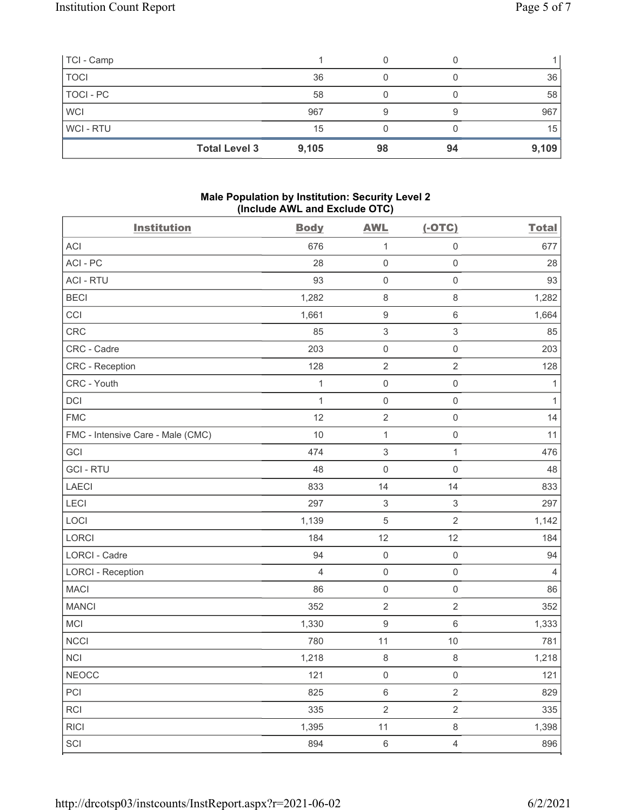| TCI - Camp  |                      |       |    |    |       |
|-------------|----------------------|-------|----|----|-------|
| <b>TOCI</b> |                      | 36    |    |    | 36    |
| TOCI - PC   |                      | 58    |    |    | 58    |
| <b>WCI</b>  |                      | 967   | 9  |    | 967   |
| WCI-RTU     |                      | 15    |    |    | 15    |
|             | <b>Total Level 3</b> | 9,105 | 98 | 94 | 9,109 |

### Male Population by Institution: Security Level 2 (Include AWL and Exclude OTC)

| <b>Institution</b>                | <b>Body</b>    | <b>AWL</b>                | $(-OTC)$                  | <b>Total</b>   |
|-----------------------------------|----------------|---------------------------|---------------------------|----------------|
| ACI                               | 676            | 1                         | $\mathsf 0$               | 677            |
| ACI-PC                            | 28             | $\mathsf{O}\xspace$       | $\mathsf{O}\xspace$       | 28             |
| <b>ACI - RTU</b>                  | 93             | $\mathsf{O}\xspace$       | $\mathsf 0$               | 93             |
| <b>BECI</b>                       | 1,282          | $\,8\,$                   | $\,8\,$                   | 1,282          |
| CCI                               | 1,661          | $\boldsymbol{9}$          | 6                         | 1,664          |
| <b>CRC</b>                        | 85             | $\ensuremath{\mathsf{3}}$ | 3                         | 85             |
| CRC - Cadre                       | 203            | $\mathsf{O}\xspace$       | $\mathsf{O}\xspace$       | 203            |
| CRC - Reception                   | 128            | $\sqrt{2}$                | $\overline{2}$            | 128            |
| CRC - Youth                       | 1              | $\mathsf{O}\xspace$       | $\mathsf 0$               | 1              |
| DCI                               | $\mathbf{1}$   | $\mathsf 0$               | $\mathsf{O}\xspace$       | 1              |
| <b>FMC</b>                        | 12             | $\sqrt{2}$                | $\mathsf{O}\xspace$       | 14             |
| FMC - Intensive Care - Male (CMC) | 10             | $\mathbf{1}$              | $\mathsf{O}\xspace$       | 11             |
| GCI                               | 474            | $\ensuremath{\mathsf{3}}$ | $\mathbf{1}$              | 476            |
| <b>GCI-RTU</b>                    | 48             | $\mathsf{O}\xspace$       | 0                         | 48             |
| LAECI                             | 833            | 14                        | 14                        | 833            |
| LECI                              | 297            | $\ensuremath{\mathsf{3}}$ | $\ensuremath{\mathsf{3}}$ | 297            |
| LOCI                              | 1,139          | $\mathbf 5$               | $\sqrt{2}$                | 1,142          |
| LORCI                             | 184            | 12                        | 12                        | 184            |
| <b>LORCI - Cadre</b>              | 94             | $\mathsf{O}\xspace$       | $\mathsf 0$               | 94             |
| <b>LORCI - Reception</b>          | $\overline{4}$ | $\mathsf 0$               | $\mathsf{O}\xspace$       | $\overline{4}$ |
| <b>MACI</b>                       | 86             | $\mathsf{O}\xspace$       | $\mathsf{O}\xspace$       | 86             |
| <b>MANCI</b>                      | 352            | $\sqrt{2}$                | $\sqrt{2}$                | 352            |
| MCI                               | 1,330          | $\boldsymbol{9}$          | $\,6$                     | 1,333          |
| <b>NCCI</b>                       | 780            | 11                        | 10                        | 781            |
| <b>NCI</b>                        | 1,218          | $\,8\,$                   | 8                         | 1,218          |
| <b>NEOCC</b>                      | 121            | 0                         | 0                         | 121            |
| PCI                               | 825            | $\,6\,$                   | $\overline{2}$            | 829            |
| <b>RCI</b>                        | 335            | $\sqrt{2}$                | $\overline{2}$            | 335            |
| <b>RICI</b>                       | 1,395          | 11                        | $\,8\,$                   | 1,398          |
| SCI                               | 894            | $\,6\,$                   | $\overline{4}$            | 896            |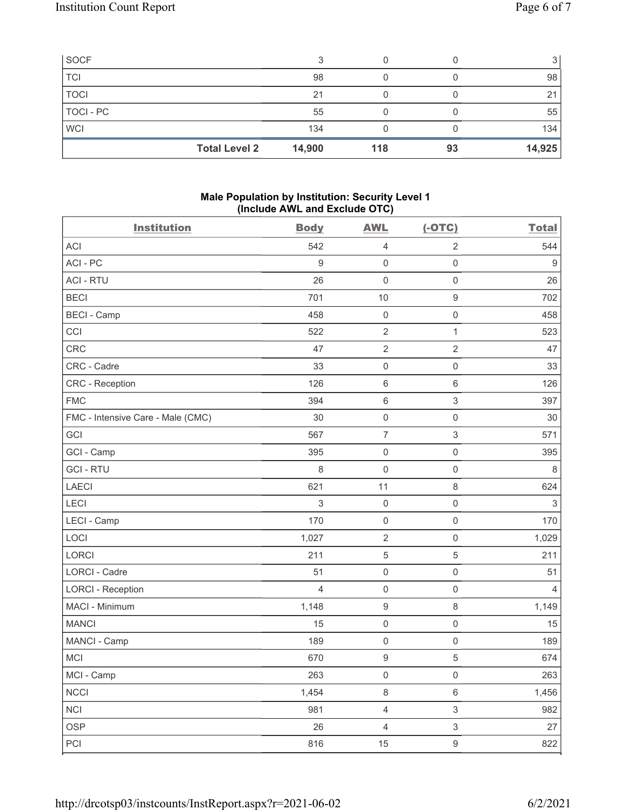| <b>SOCF</b> |                                |     |    |        |
|-------------|--------------------------------|-----|----|--------|
| <b>TCI</b>  | 98                             |     |    | 98     |
| <b>TOCI</b> | 21                             |     |    | 21     |
| TOCI - PC   | 55                             |     |    | 55     |
| <b>WCI</b>  | 134                            |     |    | 134    |
|             | <b>Total Level 2</b><br>14,900 | 118 | 93 | 14,925 |

### Male Population by Institution: Security Level 1 (Include AWL and Exclude OTC)

| <b>Institution</b>                | <b>Body</b>      | <b>AWL</b>          | $(-OTC)$            | <b>Total</b>              |
|-----------------------------------|------------------|---------------------|---------------------|---------------------------|
| <b>ACI</b>                        | 542              | 4                   | $\overline{2}$      | 544                       |
| ACI - PC                          | $\boldsymbol{9}$ | $\mathbf 0$         | $\mathsf{O}\xspace$ | $9\,$                     |
| <b>ACI - RTU</b>                  | 26               | $\mathsf{O}\xspace$ | $\mathsf 0$         | 26                        |
| <b>BECI</b>                       | 701              | 10                  | $\boldsymbol{9}$    | 702                       |
| <b>BECI - Camp</b>                | 458              | $\mathsf{O}\xspace$ | $\mathsf{O}\xspace$ | 458                       |
| CCI                               | 522              | $\sqrt{2}$          | 1                   | 523                       |
| CRC                               | 47               | $\sqrt{2}$          | $\overline{2}$      | 47                        |
| CRC - Cadre                       | 33               | $\mathsf{O}\xspace$ | $\mathsf{O}\xspace$ | 33                        |
| <b>CRC</b> - Reception            | 126              | $\,6\,$             | $\,6\,$             | 126                       |
| <b>FMC</b>                        | 394              | $\,6\,$             | $\,$ 3 $\,$         | 397                       |
| FMC - Intensive Care - Male (CMC) | 30               | $\mathsf{O}\xspace$ | $\mathsf{O}\xspace$ | 30                        |
| GCI                               | 567              | $\overline{7}$      | $\sqrt{3}$          | 571                       |
| GCI - Camp                        | 395              | $\mathsf{O}\xspace$ | $\mathsf{O}\xspace$ | 395                       |
| <b>GCI-RTU</b>                    | $\,8\,$          | $\mathsf{O}\xspace$ | $\mathbf 0$         | $\,8\,$                   |
| LAECI                             | 621              | 11                  | $\,8\,$             | 624                       |
| LECI                              | 3                | $\mathsf{O}\xspace$ | $\mathsf 0$         | $\ensuremath{\mathsf{3}}$ |
| LECI - Camp                       | 170              | $\mathsf{O}\xspace$ | $\mathsf{O}\xspace$ | 170                       |
| LOCI                              | 1,027            | $\sqrt{2}$          | $\mathsf{O}\xspace$ | 1,029                     |
| LORCI                             | 211              | $\mathbf 5$         | $\mathbf 5$         | 211                       |
| LORCI - Cadre                     | 51               | $\mathsf{O}\xspace$ | $\mathsf{O}\xspace$ | 51                        |
| <b>LORCI - Reception</b>          | $\overline{4}$   | $\mathsf{O}\xspace$ | $\mathsf{O}\xspace$ | $\overline{4}$            |
| MACI - Minimum                    | 1,148            | $\boldsymbol{9}$    | $\,8\,$             | 1,149                     |
| <b>MANCI</b>                      | 15               | $\mathsf{O}\xspace$ | $\mathsf{O}\xspace$ | 15                        |
| MANCI - Camp                      | 189              | $\mathsf{O}\xspace$ | $\mathsf{O}\xspace$ | 189                       |
| <b>MCI</b>                        | 670              | $\hbox{9}$          | $\sqrt{5}$          | 674                       |
| MCI - Camp                        | 263              | $\boldsymbol{0}$    | $\boldsymbol{0}$    | 263                       |
| <b>NCCI</b>                       | 1,454            | $\,8\,$             | $\,6\,$             | 1,456                     |
| <b>NCI</b>                        | 981              | $\sqrt{4}$          | $\sqrt{3}$          | 982                       |
| <b>OSP</b>                        | 26               | $\overline{4}$      | $\sqrt{3}$          | 27                        |
| PCI                               | 816              | 15                  | $\boldsymbol{9}$    | 822                       |